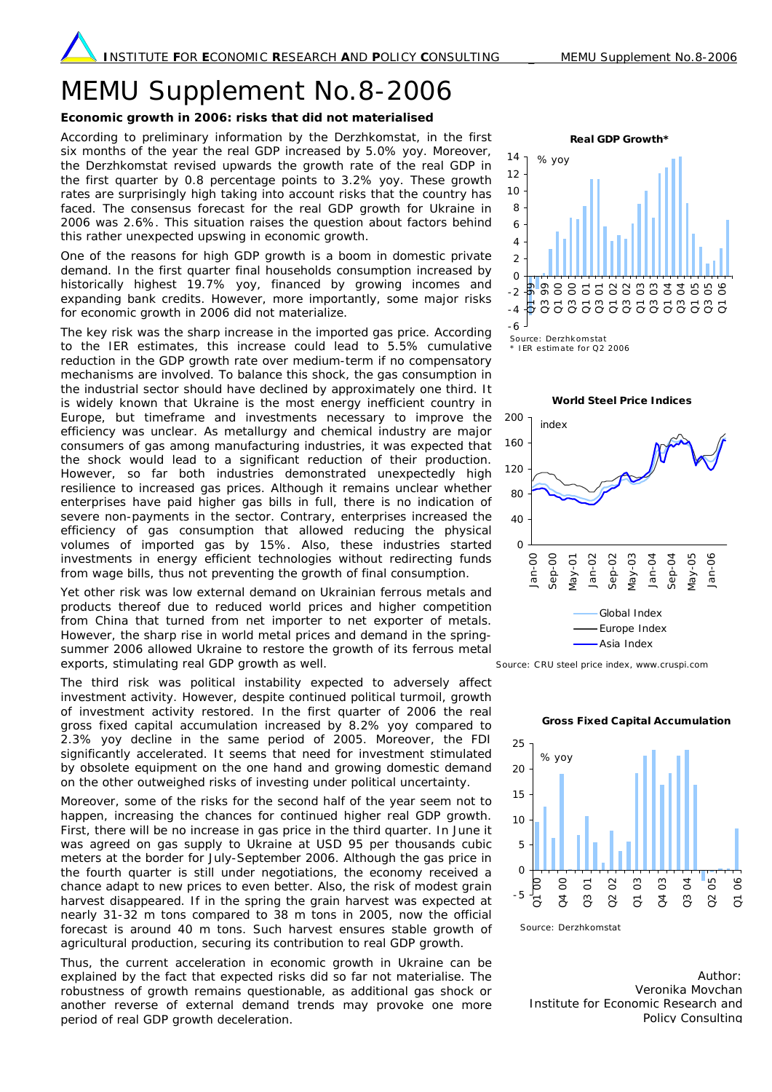## MEMU Supplement No.8-2006

## **Economic growth in 2006: risks that did not materialised**

According to preliminary information by the Derzhkomstat, in the first six months of the year the real GDP increased by 5.0% yoy. Moreover, the Derzhkomstat revised upwards the growth rate of the real GDP in the first quarter by 0.8 percentage points to 3.2% yoy. These growth rates are surprisingly high taking into account risks that the country has faced. The consensus forecast for the real GDP growth for Ukraine in 2006 was 2.6%. This situation raises the question about factors behind this rather unexpected upswing in economic growth.

One of the reasons for high GDP growth is a boom in domestic private demand. In the first quarter final households consumption increased by historically highest 19.7% yoy, financed by growing incomes and expanding bank credits. However, more importantly, some major risks for economic growth in 2006 did not materialize.

The key risk was the sharp increase in the imported gas price. According to the IER estimates, this increase could lead to 5.5% cumulative reduction in the GDP growth rate over medium-term if no compensatory mechanisms are involved. To balance this shock, the gas consumption in the industrial sector should have declined by approximately one third. It is widely known that Ukraine is the most energy inefficient country in Europe, but timeframe and investments necessary to improve the efficiency was unclear. As metallurgy and chemical industry are major consumers of gas among manufacturing industries, it was expected that the shock would lead to a significant reduction of their production. However, so far both industries demonstrated unexpectedly high resilience to increased gas prices. Although it remains unclear whether enterprises have paid higher gas bills in full, there is no indication of severe non-payments in the sector. Contrary, enterprises increased the efficiency of gas consumption that allowed reducing the physical volumes of imported gas by 15%. Also, these industries started investments in energy efficient technologies without redirecting funds from wage bills, thus not preventing the growth of final consumption.

Yet other risk was low external demand on Ukrainian ferrous metals and products thereof due to reduced world prices and higher competition from China that turned from net importer to net exporter of metals. However, the sharp rise in world metal prices and demand in the springsummer 2006 allowed Ukraine to restore the growth of its ferrous metal exports, stimulating real GDP growth as well.

The third risk was political instability expected to adversely affect investment activity. However, despite continued political turmoil, growth of investment activity restored. In the first quarter of 2006 the real gross fixed capital accumulation increased by 8.2% yoy compared to 2.3% yoy decline in the same period of 2005. Moreover, the FDI significantly accelerated. It seems that need for investment stimulated by obsolete equipment on the one hand and growing domestic demand on the other outweighed risks of investing under political uncertainty.

Moreover, some of the risks for the second half of the year seem not to happen, increasing the chances for continued higher real GDP growth. First, there will be no increase in gas price in the third quarter. In June it was agreed on gas supply to Ukraine at USD 95 per thousands cubic meters at the border for July-September 2006. Although the gas price in the fourth quarter is still under negotiations, the economy received a chance adapt to new prices to even better. Also, the risk of modest grain harvest disappeared. If in the spring the grain harvest was expected at nearly 31-32 m tons compared to 38 m tons in 2005, now the official forecast is around 40 m tons. Such harvest ensures stable growth of agricultural production, securing its contribution to real GDP growth.

Thus, the current acceleration in economic growth in Ukraine can be explained by the fact that expected risks did so far not materialise. The robustness of growth remains questionable, as additional gas shock or another reverse of external demand trends may provoke one more period of real GDP growth deceleration.





**World Steel Price Indices**

Source: CRU steel price index, www.cruspi.com



**Gross Fixed Capital Accumulation**

Source: Derzhkomstat

Author: Veronika Movchan Institute for Economic Research and Policy Consulting